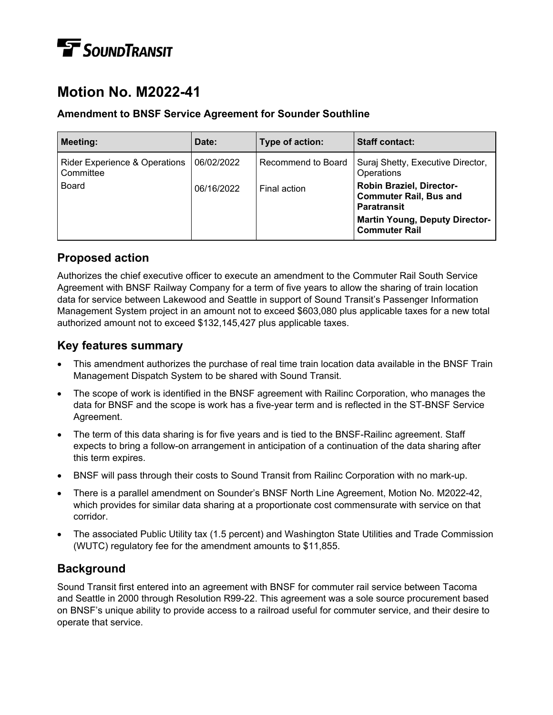# **TE** SOUNDTRANSIT

## **Motion No. M2022-41**

### **Amendment to BNSF Service Agreement for Sounder Southline**

| <b>Meeting:</b>                                       | Date:      | Type of action:    | <b>Staff contact:</b>                                                                  |
|-------------------------------------------------------|------------|--------------------|----------------------------------------------------------------------------------------|
| <b>Rider Experience &amp; Operations</b><br>Committee | 06/02/2022 | Recommend to Board | Suraj Shetty, Executive Director,<br>Operations                                        |
| Board                                                 | 06/16/2022 | Final action       | <b>Robin Braziel, Director-</b><br><b>Commuter Rail, Bus and</b><br><b>Paratransit</b> |
|                                                       |            |                    | <b>Martin Young, Deputy Director-</b><br><b>Commuter Rail</b>                          |

### **Proposed action**

Authorizes the chief executive officer to execute an amendment to the Commuter Rail South Service Agreement with BNSF Railway Company for a term of five years to allow the sharing of train location data for service between Lakewood and Seattle in support of Sound Transit's Passenger Information Management System project in an amount not to exceed \$603,080 plus applicable taxes for a new total authorized amount not to exceed \$132,145,427 plus applicable taxes.

### **Key features summary**

- This amendment authorizes the purchase of real time train location data available in the BNSF Train Management Dispatch System to be shared with Sound Transit.
- The scope of work is identified in the BNSF agreement with Railinc Corporation, who manages the data for BNSF and the scope is work has a five-year term and is reflected in the ST-BNSF Service Agreement.
- The term of this data sharing is for five years and is tied to the BNSF-Railinc agreement. Staff expects to bring a follow-on arrangement in anticipation of a continuation of the data sharing after this term expires.
- BNSF will pass through their costs to Sound Transit from Railinc Corporation with no mark-up.
- There is a parallel amendment on Sounder's BNSF North Line Agreement, Motion No. M2022-42, which provides for similar data sharing at a proportionate cost commensurate with service on that corridor.
- The associated Public Utility tax (1.5 percent) and Washington State Utilities and Trade Commission (WUTC) regulatory fee for the amendment amounts to \$11,855.

### **Background**

Sound Transit first entered into an agreement with BNSF for commuter rail service between Tacoma and Seattle in 2000 through Resolution R99-22. This agreement was a sole source procurement based on BNSF's unique ability to provide access to a railroad useful for commuter service, and their desire to operate that service.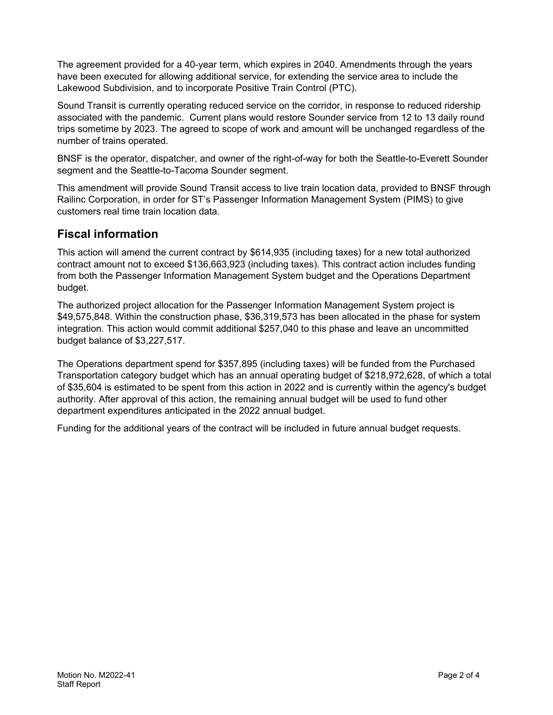The agreement provided for a 40-year term, which expires in 2040. Amendments through the years have been executed for allowing additional service, for extending the service area to include the Lakewood Subdivision, and to incorporate Positive Train Control (PTC).

Sound Transit is currently operating reduced service on the corridor, in response to reduced ridership associated with the pandemic. Current plans would restore Sounder service from 12 to 13 daily round trips sometime by 2023. The agreed to scope of work and amount will be unchanged regardless of the number of trains operated.

BNSF is the operator, dispatcher, and owner of the right-of-way for both the Seattle-to-Everett Sounder segment and the Seattle-to-Tacoma Sounder segment.

This amendment will provide Sound Transit access to live train location data, provided to BNSF through Railinc Corporation, in order for ST's Passenger Information Management System (PIMS) to give customers real time train location data.

### **Fiscal information**

This action will amend the current contract by \$614,935 (including taxes) for a new total authorized contract amount not to exceed \$136,663,923 (including taxes). This contract action includes funding from both the Passenger Information Management System budget and the Operations Department budget.

The authorized project allocation for the Passenger Information Management System project is \$49,575,848. Within the construction phase, \$36,319,573 has been allocated in the phase for system integration. This action would commit additional \$257,040 to this phase and leave an uncommitted budget balance of \$3,227,517.

The Operations department spend for \$357,895 (including taxes) will be funded from the Purchased Transportation category budget which has an annual operating budget of \$218,972,628, of which a total of \$35,604 is estimated to be spent from this action in 2022 and is currently within the agency's budget authority. After approval of this action, the remaining annual budget will be used to fund other department expenditures anticipated in the 2022 annual budget.

Funding for the additional years of the contract will be included in future annual budget requests.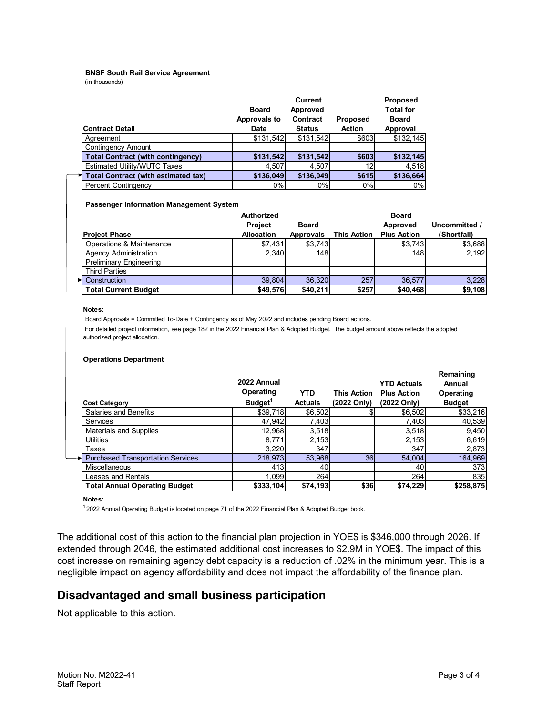#### **BNSF South Rail Service Agreement**

(in thousands)

| <b>Contract Detail</b>                     | <b>Board</b><br>Approvals to<br><b>Date</b> | <b>Current</b><br>Approved<br><b>Contract</b><br><b>Status</b> | <b>Proposed</b><br><b>Action</b> | <b>Proposed</b><br><b>Total for</b><br><b>Board</b><br>Approval |
|--------------------------------------------|---------------------------------------------|----------------------------------------------------------------|----------------------------------|-----------------------------------------------------------------|
| Aareement                                  | \$131,542                                   | \$131,542                                                      | \$603                            | \$132,145                                                       |
| <b>Contingency Amount</b>                  |                                             |                                                                |                                  |                                                                 |
| <b>Total Contract (with contingency)</b>   | \$131,542                                   | \$131,542                                                      | \$603                            | \$132,145                                                       |
| Estimated Utility/WUTC Taxes               | 4,507                                       | 4.507                                                          | 12                               | 4,518                                                           |
| <b>Total Contract (with estimated tax)</b> | \$136,049                                   | \$136,049                                                      | \$615                            | \$136,664                                                       |
| <b>Percent Contingency</b>                 | 0%                                          | $0\%$                                                          | 0%                               | 0%                                                              |

#### **Passenger Information Management System**

| <b>Project Phase</b>           | Authorized<br><b>Project</b><br><b>Allocation</b> | <b>Board</b><br><b>Approvals</b> | <b>This Action</b> | <b>Board</b><br>Approved<br><b>Plus Action</b> | Uncommitted /<br>(Shortfall) |
|--------------------------------|---------------------------------------------------|----------------------------------|--------------------|------------------------------------------------|------------------------------|
| Operations & Maintenance       | \$7,431                                           | \$3,743                          |                    | \$3,743                                        | \$3,688                      |
| <b>Agency Administration</b>   | 2,340                                             | 148l                             |                    | 148                                            | 2,192                        |
| <b>Preliminary Engineering</b> |                                                   |                                  |                    |                                                |                              |
| <b>Third Parties</b>           |                                                   |                                  |                    |                                                |                              |
| Construction                   | 39.804                                            | 36,320                           | 257                | 36.577                                         | 3,228                        |
| <b>Total Current Budget</b>    | \$49,576                                          | \$40,211                         | \$257              | \$40,468                                       | \$9,108                      |

#### **Notes:**

Board Approvals = Committed To-Date + Contingency as of May 2022 and includes pending Board actions.

 For detailed project information, see page 182 in the 2022 Financial Plan & Adopted Budget. The budget amount above reflects the adopted authorized project allocation.

#### **Operations Department**

|  | <b>Cost Category</b>                     | 2022 Annual<br>Operating<br>Budget <sup>1</sup> | <b>YTD</b><br><b>Actuals</b> | <b>This Action</b><br>(2022 Only) | <b>YTD Actuals</b><br><b>Plus Action</b><br>(2022 Only) | Remaining<br>Annual<br>Operating<br><b>Budget</b> |
|--|------------------------------------------|-------------------------------------------------|------------------------------|-----------------------------------|---------------------------------------------------------|---------------------------------------------------|
|  | Salaries and Benefits                    | \$39,718                                        | \$6,502                      |                                   | \$6,502                                                 | \$33,216                                          |
|  | Services                                 | 47,942                                          | 7,403                        |                                   | 7,403                                                   | 40,539                                            |
|  | <b>Materials and Supplies</b>            | 12,968                                          | 3,518                        |                                   | 3,518                                                   | 9,450                                             |
|  | Utilities                                | 8,771                                           | 2,153                        |                                   | 2,153                                                   | 6,619                                             |
|  | Taxes                                    | 3,220                                           | 347                          |                                   | 347                                                     | 2,873                                             |
|  | <b>Purchased Transportation Services</b> | 218,973                                         | 53,968                       | 36                                | 54.004                                                  | 164,969                                           |
|  | Miscellaneous                            | 413                                             | 40                           |                                   | 40                                                      | 373                                               |
|  | Leases and Rentals                       | 1.099l                                          | 264                          |                                   | 264                                                     | 835                                               |
|  | <b>Total Annual Operating Budget</b>     | \$333,104                                       | \$74,193                     | \$36                              | \$74,229                                                | \$258,875                                         |

#### **Notes:**

 $12022$  Annual Operating Budget is located on page 71 of the 2022 Financial Plan & Adopted Budget book.

The additional cost of this action to the financial plan projection in YOE\$ is \$346,000 through 2026. If extended through 2046, the estimated additional cost increases to \$2.9M in YOE\$. The impact of this cost increase on remaining agency debt capacity is a reduction of .02% in the minimum year. This is a negligible impact on agency affordability and does not impact the affordability of the finance plan.

### **Disadvantaged and small business participation**

Not applicable to this action.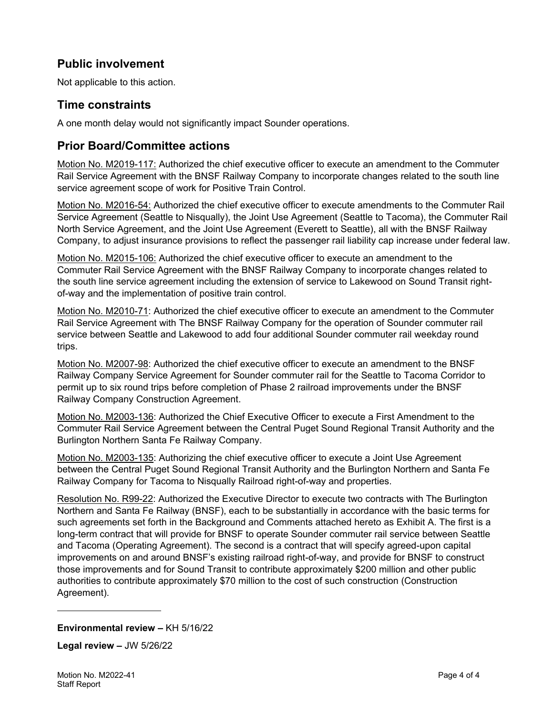### **Public involvement**

Not applicable to this action.

### **Time constraints**

A one month delay would not significantly impact Sounder operations.

### **Prior Board/Committee actions**

Motion No. M2019-117: Authorized the chief executive officer to execute an amendment to the Commuter Rail Service Agreement with the BNSF Railway Company to incorporate changes related to the south line service agreement scope of work for Positive Train Control.

Motion No. M2016-54: Authorized the chief executive officer to execute amendments to the Commuter Rail Service Agreement (Seattle to Nisqually), the Joint Use Agreement (Seattle to Tacoma), the Commuter Rail North Service Agreement, and the Joint Use Agreement (Everett to Seattle), all with the BNSF Railway Company, to adjust insurance provisions to reflect the passenger rail liability cap increase under federal law.

Motion No. M2015-106: Authorized the chief executive officer to execute an amendment to the Commuter Rail Service Agreement with the BNSF Railway Company to incorporate changes related to the south line service agreement including the extension of service to Lakewood on Sound Transit rightof-way and the implementation of positive train control.

Motion No. M2010-71: Authorized the chief executive officer to execute an amendment to the Commuter Rail Service Agreement with The BNSF Railway Company for the operation of Sounder commuter rail service between Seattle and Lakewood to add four additional Sounder commuter rail weekday round trips.

Motion No. M2007-98: Authorized the chief executive officer to execute an amendment to the BNSF Railway Company Service Agreement for Sounder commuter rail for the Seattle to Tacoma Corridor to permit up to six round trips before completion of Phase 2 railroad improvements under the BNSF Railway Company Construction Agreement.

Motion No. M2003-136: Authorized the Chief Executive Officer to execute a First Amendment to the Commuter Rail Service Agreement between the Central Puget Sound Regional Transit Authority and the Burlington Northern Santa Fe Railway Company.

Motion No. M2003-135: Authorizing the chief executive officer to execute a Joint Use Agreement between the Central Puget Sound Regional Transit Authority and the Burlington Northern and Santa Fe Railway Company for Tacoma to Nisqually Railroad right-of-way and properties.

Resolution No. R99-22: Authorized the Executive Director to execute two contracts with The Burlington Northern and Santa Fe Railway (BNSF), each to be substantially in accordance with the basic terms for such agreements set forth in the Background and Comments attached hereto as Exhibit A. The first is a long-term contract that will provide for BNSF to operate Sounder commuter rail service between Seattle and Tacoma (Operating Agreement). The second is a contract that will specify agreed-upon capital improvements on and around BNSF's existing railroad right-of-way, and provide for BNSF to construct those improvements and for Sound Transit to contribute approximately \$200 million and other public authorities to contribute approximately \$70 million to the cost of such construction (Construction Agreement).

#### **Environmental review –** KH 5/16/22

**Legal review –** JW 5/26/22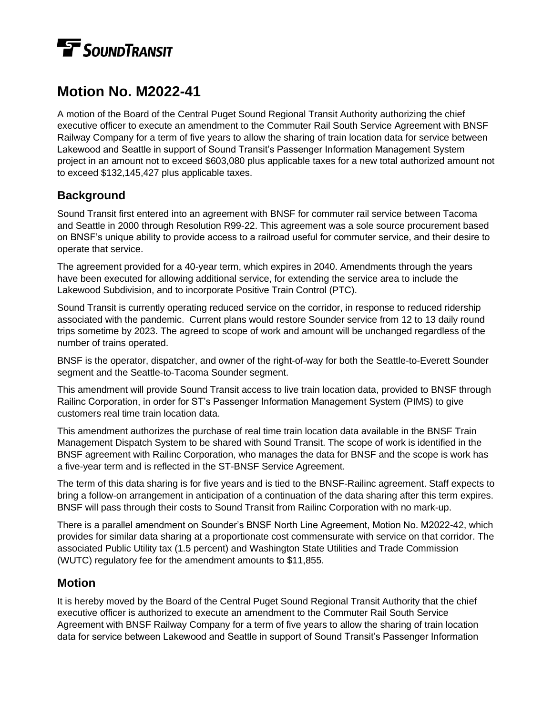# **TE** SOUNDTRANSIT

## **Motion No. M2022-41**

A motion of the Board of the Central Puget Sound Regional Transit Authority authorizing the chief executive officer to execute an amendment to the Commuter Rail South Service Agreement with BNSF Railway Company for a term of five years to allow the sharing of train location data for service between Lakewood and Seattle in support of Sound Transit's Passenger Information Management System project in an amount not to exceed \$603,080 plus applicable taxes for a new total authorized amount not to exceed \$132,145,427 plus applicable taxes.

### **Background**

Sound Transit first entered into an agreement with BNSF for commuter rail service between Tacoma and Seattle in 2000 through Resolution R99-22. This agreement was a sole source procurement based on BNSF's unique ability to provide access to a railroad useful for commuter service, and their desire to operate that service.

The agreement provided for a 40-year term, which expires in 2040. Amendments through the years have been executed for allowing additional service, for extending the service area to include the Lakewood Subdivision, and to incorporate Positive Train Control (PTC).

Sound Transit is currently operating reduced service on the corridor, in response to reduced ridership associated with the pandemic. Current plans would restore Sounder service from 12 to 13 daily round trips sometime by 2023. The agreed to scope of work and amount will be unchanged regardless of the number of trains operated.

BNSF is the operator, dispatcher, and owner of the right-of-way for both the Seattle-to-Everett Sounder segment and the Seattle-to-Tacoma Sounder segment.

This amendment will provide Sound Transit access to live train location data, provided to BNSF through Railinc Corporation, in order for ST's Passenger Information Management System (PIMS) to give customers real time train location data.

This amendment authorizes the purchase of real time train location data available in the BNSF Train Management Dispatch System to be shared with Sound Transit. The scope of work is identified in the BNSF agreement with Railinc Corporation, who manages the data for BNSF and the scope is work has a five-year term and is reflected in the ST-BNSF Service Agreement.

The term of this data sharing is for five years and is tied to the BNSF-Railinc agreement. Staff expects to bring a follow-on arrangement in anticipation of a continuation of the data sharing after this term expires. BNSF will pass through their costs to Sound Transit from Railinc Corporation with no mark-up.

There is a parallel amendment on Sounder's BNSF North Line Agreement, Motion No. M2022-42, which provides for similar data sharing at a proportionate cost commensurate with service on that corridor. The associated Public Utility tax (1.5 percent) and Washington State Utilities and Trade Commission (WUTC) regulatory fee for the amendment amounts to \$11,855.

### **Motion**

It is hereby moved by the Board of the Central Puget Sound Regional Transit Authority that the chief executive officer is authorized to execute an amendment to the Commuter Rail South Service Agreement with BNSF Railway Company for a term of five years to allow the sharing of train location data for service between Lakewood and Seattle in support of Sound Transit's Passenger Information